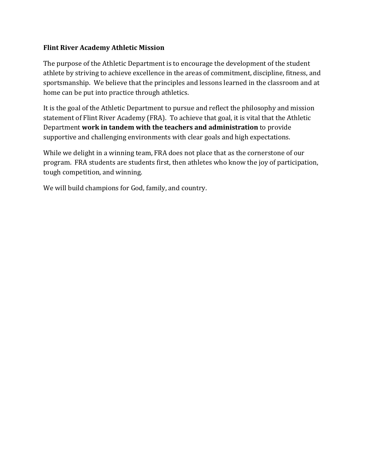### **Flint River Academy Athletic Mission**

The purpose of the Athletic Department is to encourage the development of the student athlete by striving to achieve excellence in the areas of commitment, discipline, fitness, and sportsmanship. We believe that the principles and lessons learned in the classroom and at home can be put into practice through athletics.

It is the goal of the Athletic Department to pursue and reflect the philosophy and mission statement of Flint River Academy (FRA). To achieve that goal, it is vital that the Athletic Department **work in tandem with the teachers and administration** to provide supportive and challenging environments with clear goals and high expectations.

While we delight in a winning team, FRA does not place that as the cornerstone of our program. FRA students are students first, then athletes who know the joy of participation, tough competition, and winning.

We will build champions for God, family, and country.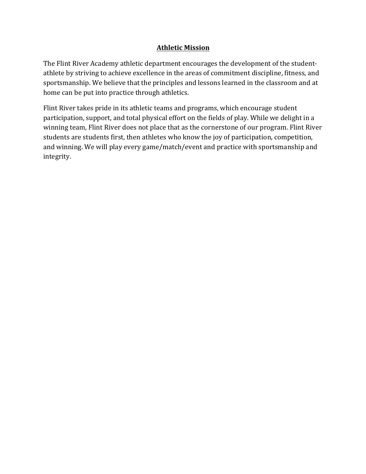## **Athletic Mission**

The Flint River Academy athletic department encourages the development of the studentathlete by striving to achieve excellence in the areas of commitment discipline, fitness, and sportsmanship. We believe that the principles and lessons learned in the classroom and at home can be put into practice through athletics.

Flint River takes pride in its athletic teams and programs, which encourage student participation, support, and total physical effort on the fields of play. While we delight in a winning team, Flint River does not place that as the cornerstone of our program. Flint River students are students first, then athletes who know the joy of participation, competition, and winning. We will play every game/match/event and practice with sportsmanship and integrity.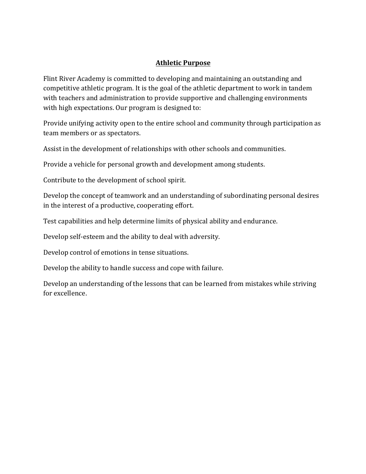## **Athletic Purpose**

Flint River Academy is committed to developing and maintaining an outstanding and competitive athletic program. It is the goal of the athletic department to work in tandem with teachers and administration to provide supportive and challenging environments with high expectations. Our program is designed to:

Provide unifying activity open to the entire school and community through participation as team members or as spectators.

Assist in the development of relationships with other schools and communities.

Provide a vehicle for personal growth and development among students.

Contribute to the development of school spirit.

Develop the concept of teamwork and an understanding of subordinating personal desires in the interest of a productive, cooperating effort.

Test capabilities and help determine limits of physical ability and endurance.

Develop self-esteem and the ability to deal with adversity.

Develop control of emotions in tense situations.

Develop the ability to handle success and cope with failure.

Develop an understanding of the lessons that can be learned from mistakes while striving for excellence.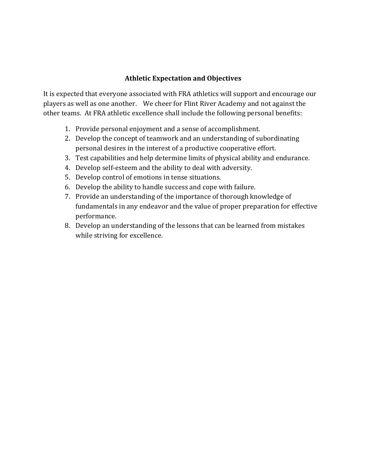### **Athletic Expectation and Objectives**

It is expected that everyone associated with FRA athletics will support and encourage our players as well as one another. We cheer for Flint River Academy and not against the other teams. At FRA athletic excellence shall include the following personal benefits:

- 1. Provide personal enjoyment and a sense of accomplishment.
- 2. Develop the concept of teamwork and an understanding of subordinating personal desires in the interest of a productive cooperative effort.
- 3. Test capabilities and help determine limits of physical ability and endurance.
- 4. Develop self-esteem and the ability to deal with adversity.
- 5. Develop control of emotions in tense situations.
- 6. Develop the ability to handle success and cope with failure.
- 7. Provide an understanding of the importance of thorough knowledge of fundamentals in any endeavor and the value of proper preparation for effective performance.
- 8. Develop an understanding of the lessons that can be learned from mistakes while striving for excellence.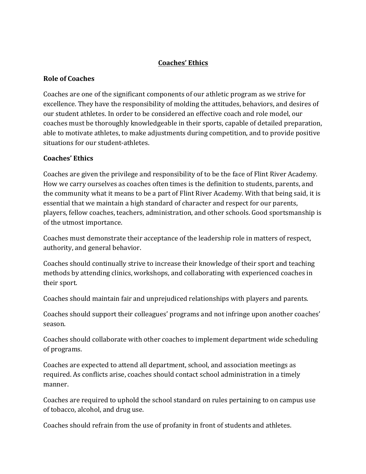## **Coaches' Ethics**

## **Role of Coaches**

Coaches are one of the significant components of our athletic program as we strive for excellence. They have the responsibility of molding the attitudes, behaviors, and desires of our student athletes. In order to be considered an effective coach and role model, our coaches must be thoroughly knowledgeable in their sports, capable of detailed preparation, able to motivate athletes, to make adjustments during competition, and to provide positive situations for our student-athletes.

### **Coaches' Ethics**

Coaches are given the privilege and responsibility of to be the face of Flint River Academy. How we carry ourselves as coaches often times is the definition to students, parents, and the community what it means to be a part of Flint River Academy. With that being said, it is essential that we maintain a high standard of character and respect for our parents, players, fellow coaches, teachers, administration, and other schools. Good sportsmanship is of the utmost importance.

Coaches must demonstrate their acceptance of the leadership role in matters of respect, authority, and general behavior.

Coaches should continually strive to increase their knowledge of their sport and teaching methods by attending clinics, workshops, and collaborating with experienced coaches in their sport.

Coaches should maintain fair and unprejudiced relationships with players and parents.

Coaches should support their colleagues' programs and not infringe upon another coaches' season. 

Coaches should collaborate with other coaches to implement department wide scheduling of programs.

Coaches are expected to attend all department, school, and association meetings as required. As conflicts arise, coaches should contact school administration in a timely manner.

Coaches are required to uphold the school standard on rules pertaining to on campus use of tobacco, alcohol, and drug use.

Coaches should refrain from the use of profanity in front of students and athletes.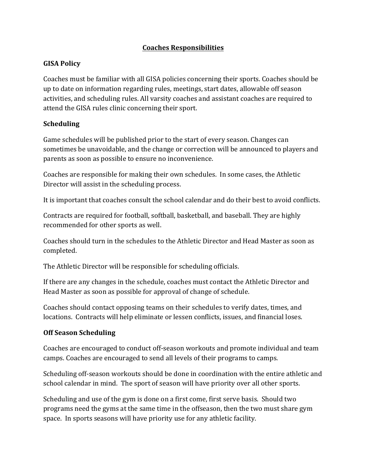## **Coaches Responsibilities**

## **GISA Policy**

Coaches must be familiar with all GISA policies concerning their sports. Coaches should be up to date on information regarding rules, meetings, start dates, allowable off season activities, and scheduling rules. All varsity coaches and assistant coaches are required to attend the GISA rules clinic concerning their sport.

## **Scheduling**

Game schedules will be published prior to the start of every season. Changes can sometimes be unavoidable, and the change or correction will be announced to players and parents as soon as possible to ensure no inconvenience.

Coaches are responsible for making their own schedules. In some cases, the Athletic Director will assist in the scheduling process.

It is important that coaches consult the school calendar and do their best to avoid conflicts.

Contracts are required for football, softball, basketball, and baseball. They are highly recommended for other sports as well.

Coaches should turn in the schedules to the Athletic Director and Head Master as soon as completed.

The Athletic Director will be responsible for scheduling officials.

If there are any changes in the schedule, coaches must contact the Athletic Director and Head Master as soon as possible for approval of change of schedule.

Coaches should contact opposing teams on their schedules to verify dates, times, and locations. Contracts will help eliminate or lessen conflicts, issues, and financial loses.

## **Off Season Scheduling**

Coaches are encouraged to conduct off-season workouts and promote individual and team camps. Coaches are encouraged to send all levels of their programs to camps.

Scheduling off-season workouts should be done in coordination with the entire athletic and school calendar in mind. The sport of season will have priority over all other sports.

Scheduling and use of the gym is done on a first come, first serve basis. Should two programs need the gyms at the same time in the offseason, then the two must share gym space. In sports seasons will have priority use for any athletic facility.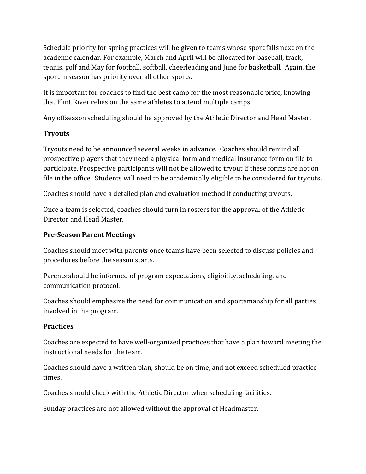Schedule priority for spring practices will be given to teams whose sport falls next on the academic calendar. For example, March and April will be allocated for baseball, track, tennis, golf and May for football, softball, cheerleading and June for basketball. Again, the sport in season has priority over all other sports.

It is important for coaches to find the best camp for the most reasonable price, knowing that Flint River relies on the same athletes to attend multiple camps.

Any offseason scheduling should be approved by the Athletic Director and Head Master.

## **Tryouts**

Tryouts need to be announced several weeks in advance. Coaches should remind all prospective players that they need a physical form and medical insurance form on file to participate. Prospective participants will not be allowed to tryout if these forms are not on file in the office. Students will need to be academically eligible to be considered for tryouts.

Coaches should have a detailed plan and evaluation method if conducting tryouts.

Once a team is selected, coaches should turn in rosters for the approval of the Athletic Director and Head Master.

## **Pre-Season Parent Meetings**

Coaches should meet with parents once teams have been selected to discuss policies and procedures before the season starts.

Parents should be informed of program expectations, eligibility, scheduling, and communication protocol.

Coaches should emphasize the need for communication and sportsmanship for all parties involved in the program.

## **Practices**

Coaches are expected to have well-organized practices that have a plan toward meeting the instructional needs for the team.

Coaches should have a written plan, should be on time, and not exceed scheduled practice times.

Coaches should check with the Athletic Director when scheduling facilities.

Sunday practices are not allowed without the approval of Headmaster.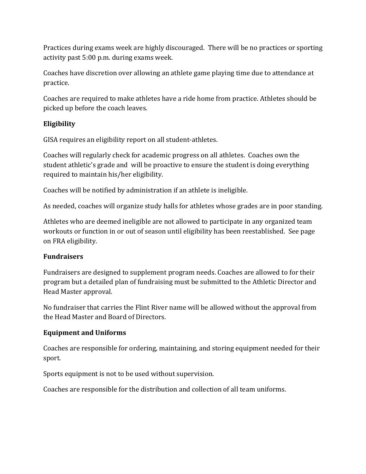Practices during exams week are highly discouraged. There will be no practices or sporting activity past 5:00 p.m. during exams week.

Coaches have discretion over allowing an athlete game playing time due to attendance at practice.

Coaches are required to make athletes have a ride home from practice. Athletes should be picked up before the coach leaves.

## **Eligibility**

GISA requires an eligibility report on all student-athletes.

Coaches will regularly check for academic progress on all athletes. Coaches own the student athletic's grade and will be proactive to ensure the student is doing everything required to maintain his/her eligibility.

Coaches will be notified by administration if an athlete is ineligible.

As needed, coaches will organize study halls for athletes whose grades are in poor standing.

Athletes who are deemed ineligible are not allowed to participate in any organized team workouts or function in or out of season until eligibility has been reestablished. See page on FRA eligibility.

## **Fundraisers**

Fundraisers are designed to supplement program needs. Coaches are allowed to for their program but a detailed plan of fundraising must be submitted to the Athletic Director and Head Master approval.

No fundraiser that carries the Flint River name will be allowed without the approval from the Head Master and Board of Directors.

## **Equipment and Uniforms**

Coaches are responsible for ordering, maintaining, and storing equipment needed for their sport. 

Sports equipment is not to be used without supervision.

Coaches are responsible for the distribution and collection of all team uniforms.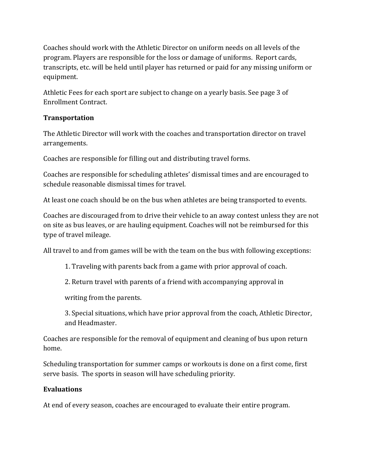Coaches should work with the Athletic Director on uniform needs on all levels of the program. Players are responsible for the loss or damage of uniforms. Report cards, transcripts, etc. will be held until player has returned or paid for any missing uniform or equipment.

Athletic Fees for each sport are subject to change on a yearly basis. See page 3 of Enrollment Contract.

## **Transportation**

The Athletic Director will work with the coaches and transportation director on travel arrangements. 

Coaches are responsible for filling out and distributing travel forms.

Coaches are responsible for scheduling athletes' dismissal times and are encouraged to schedule reasonable dismissal times for travel.

At least one coach should be on the bus when athletes are being transported to events.

Coaches are discouraged from to drive their vehicle to an away contest unless they are not on site as bus leaves, or are hauling equipment. Coaches will not be reimbursed for this type of travel mileage.

All travel to and from games will be with the team on the bus with following exceptions:

1. Traveling with parents back from a game with prior approval of coach.

2. Return travel with parents of a friend with accompanying approval in

writing from the parents.

3. Special situations, which have prior approval from the coach, Athletic Director, and Headmaster.

Coaches are responsible for the removal of equipment and cleaning of bus upon return home. 

Scheduling transportation for summer camps or workouts is done on a first come, first serve basis. The sports in season will have scheduling priority.

## **Evaluations**

At end of every season, coaches are encouraged to evaluate their entire program.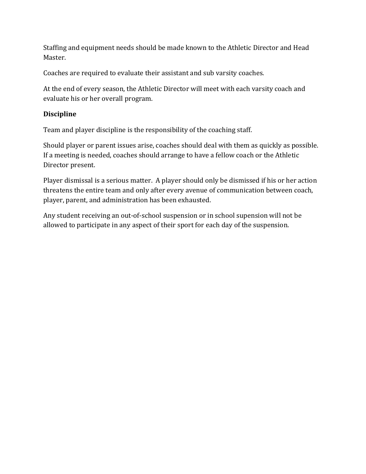Staffing and equipment needs should be made known to the Athletic Director and Head Master. 

Coaches are required to evaluate their assistant and sub varsity coaches.

At the end of every season, the Athletic Director will meet with each varsity coach and evaluate his or her overall program.

### **Discipline**

Team and player discipline is the responsibility of the coaching staff.

Should player or parent issues arise, coaches should deal with them as quickly as possible. If a meeting is needed, coaches should arrange to have a fellow coach or the Athletic Director present.

Player dismissal is a serious matter. A player should only be dismissed if his or her action threatens the entire team and only after every avenue of communication between coach, player, parent, and administration has been exhausted.

Any student receiving an out-of-school suspension or in school supension will not be allowed to participate in any aspect of their sport for each day of the suspension.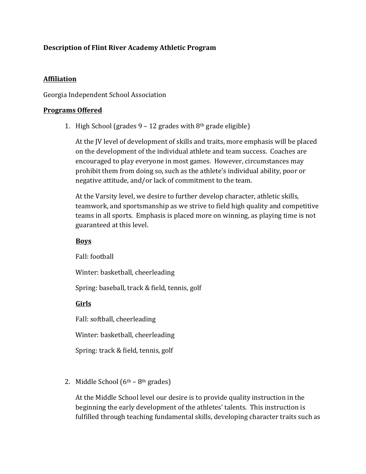## **Description of Flint River Academy Athletic Program**

### **Affiliation**

### Georgia Independent School Association

### **Programs Offered**

1. High School (grades  $9 - 12$  grades with  $8<sup>th</sup>$  grade eligible)

At the IV level of development of skills and traits, more emphasis will be placed on the development of the individual athlete and team success. Coaches are encouraged to play everyone in most games. However, circumstances may prohibit them from doing so, such as the athlete's individual ability, poor or negative attitude, and/or lack of commitment to the team.

At the Varsity level, we desire to further develop character, athletic skills, teamwork, and sportsmanship as we strive to field high quality and competitive teams in all sports. Emphasis is placed more on winning, as playing time is not guaranteed at this level.

## **Boys**

Fall: football

Winter: basketball, cheerleading

Spring: baseball, track & field, tennis, golf

## **Girls**

Fall: softball, cheerleading

Winter: basketball, cheerleading

Spring: track & field, tennis, golf

2. Middle School  $(6<sup>th</sup> - 8<sup>th</sup>$  grades)

At the Middle School level our desire is to provide quality instruction in the beginning the early development of the athletes' talents. This instruction is fulfilled through teaching fundamental skills, developing character traits such as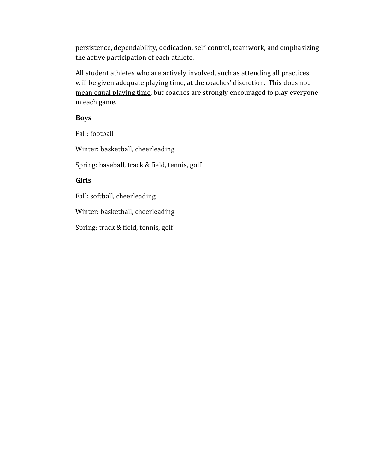persistence, dependability, dedication, self-control, teamwork, and emphasizing the active participation of each athlete.

All student athletes who are actively involved, such as attending all practices, will be given adequate playing time, at the coaches' discretion. This does not mean equal playing time, but coaches are strongly encouraged to play everyone in each game.

#### **Boys**

Fall: football

Winter: basketball, cheerleading

Spring: baseball, track & field, tennis, golf

## **Girls**

Fall: softball, cheerleading

Winter: basketball, cheerleading

Spring: track & field, tennis, golf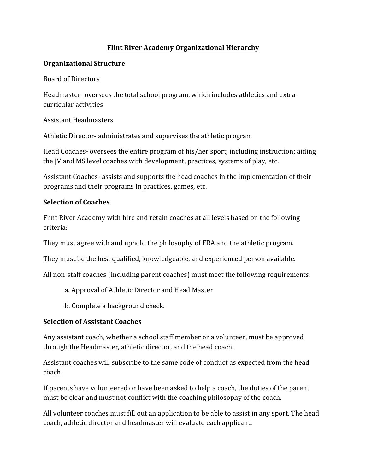## **Flint River Academy Organizational Hierarchy**

### **Organizational Structure**

Board of Directors

Headmaster- oversees the total school program, which includes athletics and extracurricular activities 

Assistant Headmasters

Athletic Director- administrates and supervises the athletic program

Head Coaches- oversees the entire program of his/her sport, including instruction; aiding the JV and MS level coaches with development, practices, systems of play, etc.

Assistant Coaches- assists and supports the head coaches in the implementation of their programs and their programs in practices, games, etc.

#### **Selection of Coaches**

Flint River Academy with hire and retain coaches at all levels based on the following criteria:

They must agree with and uphold the philosophy of FRA and the athletic program.

They must be the best qualified, knowledgeable, and experienced person available.

All non-staff coaches (including parent coaches) must meet the following requirements:

- a. Approval of Athletic Director and Head Master
- b. Complete a background check.

## **Selection of Assistant Coaches**

Any assistant coach, whether a school staff member or a volunteer, must be approved through the Headmaster, athletic director, and the head coach.

Assistant coaches will subscribe to the same code of conduct as expected from the head coach. 

If parents have volunteered or have been asked to help a coach, the duties of the parent must be clear and must not conflict with the coaching philosophy of the coach.

All volunteer coaches must fill out an application to be able to assist in any sport. The head coach, athletic director and headmaster will evaluate each applicant.